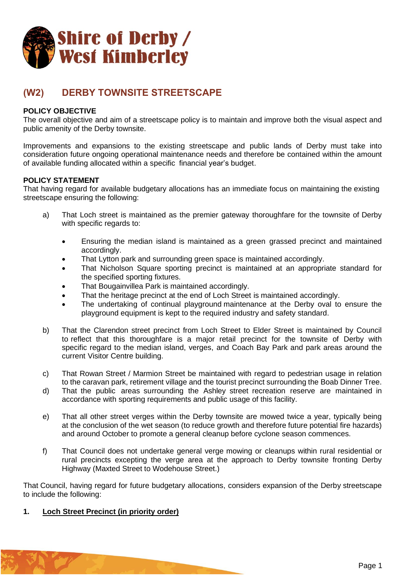

# **(W2) DERBY TOWNSITE STREETSCAPE**

# **POLICY OBJECTIVE**

The overall objective and aim of a streetscape policy is to maintain and improve both the visual aspect and public amenity of the Derby townsite.

Improvements and expansions to the existing streetscape and public lands of Derby must take into consideration future ongoing operational maintenance needs and therefore be contained within the amount of available funding allocated within a specific financial year's budget.

## **POLICY STATEMENT**

That having regard for available budgetary allocations has an immediate focus on maintaining the existing streetscape ensuring the following:

- a) That Loch street is maintained as the premier gateway thoroughfare for the townsite of Derby with specific regards to:
	- Ensuring the median island is maintained as a green grassed precinct and maintained accordingly.
	- That Lytton park and surrounding green space is maintained accordingly.
	- That Nicholson Square sporting precinct is maintained at an appropriate standard for the specified sporting fixtures.
	- That Bougainvillea Park is maintained accordingly.
	- That the heritage precinct at the end of Loch Street is maintained accordingly.
	- The undertaking of continual playground maintenance at the Derby oval to ensure the playground equipment is kept to the required industry and safety standard.
- b) That the Clarendon street precinct from Loch Street to Elder Street is maintained by Council to reflect that this thoroughfare is a major retail precinct for the townsite of Derby with specific regard to the median island, verges, and Coach Bay Park and park areas around the current Visitor Centre building.
- c) That Rowan Street / Marmion Street be maintained with regard to pedestrian usage in relation to the caravan park, retirement village and the tourist precinct surrounding the Boab Dinner Tree.
- d) That the public areas surrounding the Ashley street recreation reserve are maintained in accordance with sporting requirements and public usage of this facility.
- e) That all other street verges within the Derby townsite are mowed twice a year, typically being at the conclusion of the wet season (to reduce growth and therefore future potential fire hazards) and around October to promote a general cleanup before cyclone season commences.
- f) That Council does not undertake general verge mowing or cleanups within rural residential or rural precincts excepting the verge area at the approach to Derby townsite fronting Derby Highway (Maxted Street to Wodehouse Street.)

That Council, having regard for future budgetary allocations, considers expansion of the Derby streetscape to include the following:

#### **1. Loch Street Precinct (in priority order)**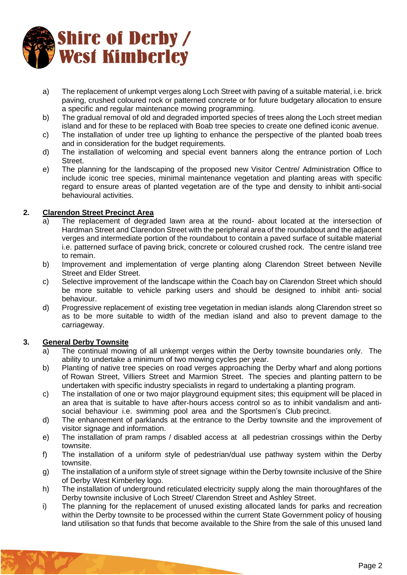

- a) The replacement of unkempt verges along Loch Street with paving of a suitable material, i.e. brick paving, crushed coloured rock or patterned concrete or for future budgetary allocation to ensure a specific and regular maintenance mowing programming.
- b) The gradual removal of old and degraded imported species of trees along the Loch street median island and for these to be replaced with Boab tree species to create one defined iconic avenue.
- c) The installation of under tree up lighting to enhance the perspective of the planted boab trees and in consideration for the budget requirements.
- d) The installation of welcoming and special event banners along the entrance portion of Loch Street.
- e) The planning for the landscaping of the proposed new Visitor Centre/ Administration Office to include iconic tree species, minimal maintenance vegetation and planting areas with specific regard to ensure areas of planted vegetation are of the type and density to inhibit anti-social behavioural activities.

# **2. Clarendon Street Precinct Area**

- a) The replacement of degraded lawn area at the round- about located at the intersection of Hardman Street and Clarendon Street with the peripheral area of the roundabout and the adjacent verges and intermediate portion of the roundabout to contain a paved surface of suitable material i.e. patterned surface of paving brick, concrete or coloured crushed rock. The centre island tree to remain.
- b) Improvement and implementation of verge planting along Clarendon Street between Neville Street and Elder Street.
- c) Selective improvement of the landscape within the Coach bay on Clarendon Street which should be more suitable to vehicle parking users and should be designed to inhibit anti- social behaviour.
- d) Progressive replacement of existing tree vegetation in median islands along Clarendon street so as to be more suitable to width of the median island and also to prevent damage to the carriageway.

## **3. General Derby Townsite**

- a) The continual mowing of all unkempt verges within the Derby townsite boundaries only. The ability to undertake a minimum of two mowing cycles per year.
- b) Planting of native tree species on road verges approaching the Derby wharf and along portions of Rowan Street, Villiers Street and Marmion Street. The species and planting pattern to be undertaken with specific industry specialists in regard to undertaking a planting program.
- c) The installation of one or two major playground equipment sites; this equipment will be placed in an area that is suitable to have after-hours access control so as to inhibit vandalism and antisocial behaviour i.e. swimming pool area and the Sportsmen's Club precinct.
- d) The enhancement of parklands at the entrance to the Derby townsite and the improvement of visitor signage and information.
- e) The installation of pram ramps / disabled access at all pedestrian crossings within the Derby townsite.
- f) The installation of a uniform style of pedestrian/dual use pathway system within the Derby townsite.
- g) The installation of a uniform style of street signage within the Derby townsite inclusive of the Shire of Derby West Kimberley logo.
- h) The installation of underground reticulated electricity supply along the main thoroughfares of the Derby townsite inclusive of Loch Street/ Clarendon Street and Ashley Street.
- i) The planning for the replacement of unused existing allocated lands for parks and recreation within the Derby townsite to be processed within the current State Government policy of housing land utilisation so that funds that become available to the Shire from the sale of this unused land